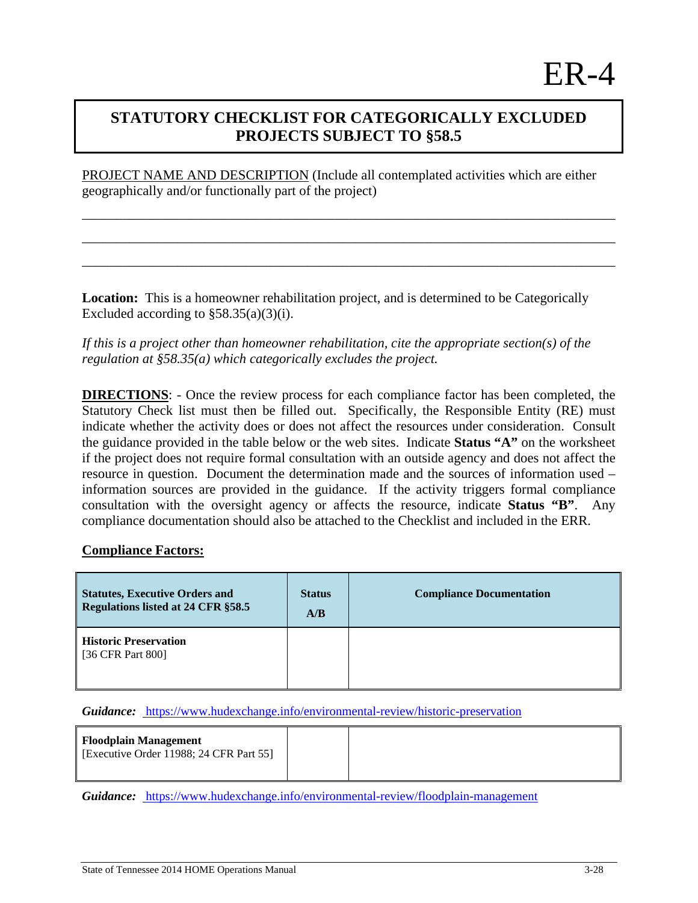## **STATUTORY CHECKLIST FOR CATEGORICALLY EXCLUDED PROJECTS SUBJECT TO §58.5**

PROJECT NAME AND DESCRIPTION (Include all contemplated activities which are either geographically and/or functionally part of the project)

\_\_\_\_\_\_\_\_\_\_\_\_\_\_\_\_\_\_\_\_\_\_\_\_\_\_\_\_\_\_\_\_\_\_\_\_\_\_\_\_\_\_\_\_\_\_\_\_\_\_\_\_\_\_\_\_\_\_\_\_\_\_\_\_\_\_\_\_\_\_\_\_\_\_\_\_\_\_

\_\_\_\_\_\_\_\_\_\_\_\_\_\_\_\_\_\_\_\_\_\_\_\_\_\_\_\_\_\_\_\_\_\_\_\_\_\_\_\_\_\_\_\_\_\_\_\_\_\_\_\_\_\_\_\_\_\_\_\_\_\_\_\_\_\_\_\_\_\_\_\_\_\_\_\_\_\_

\_\_\_\_\_\_\_\_\_\_\_\_\_\_\_\_\_\_\_\_\_\_\_\_\_\_\_\_\_\_\_\_\_\_\_\_\_\_\_\_\_\_\_\_\_\_\_\_\_\_\_\_\_\_\_\_\_\_\_\_\_\_\_\_\_\_\_\_\_\_\_\_\_\_\_\_\_\_

**Location:** This is a homeowner rehabilitation project, and is determined to be Categorically Excluded according to  $\S 58.35(a)(3)(i)$ .

*If this is a project other than homeowner rehabilitation, cite the appropriate section(s) of the regulation at §58.35(a) which categorically excludes the project.* 

**DIRECTIONS**: - Once the review process for each compliance factor has been completed, the Statutory Check list must then be filled out. Specifically, the Responsible Entity (RE) must indicate whether the activity does or does not affect the resources under consideration. Consult the guidance provided in the table below or the web sites. Indicate **Status "A"** on the worksheet if the project does not require formal consultation with an outside agency and does not affect the resource in question. Document the determination made and the sources of information used – information sources are provided in the guidance. If the activity triggers formal compliance consultation with the oversight agency or affects the resource, indicate **Status "B"**. Any compliance documentation should also be attached to the Checklist and included in the ERR.

## **Compliance Factors:**

| <b>Statutes, Executive Orders and</b><br>Regulations listed at 24 CFR §58.5 | <b>Status</b><br>A/B | <b>Compliance Documentation</b> |
|-----------------------------------------------------------------------------|----------------------|---------------------------------|
| <b>Historic Preservation</b><br>[36 CFR Part 800]                           |                      |                                 |

*Guidance:* https://www.hudexchange.info/environmental-review/historic-preservation

| <b>Floodplain Management</b>            |  |  |
|-----------------------------------------|--|--|
| [Executive Order 11988; 24 CFR Part 55] |  |  |
|                                         |  |  |

*Guidance:* https://www.hudexchange.info/environmental-review/floodplain-management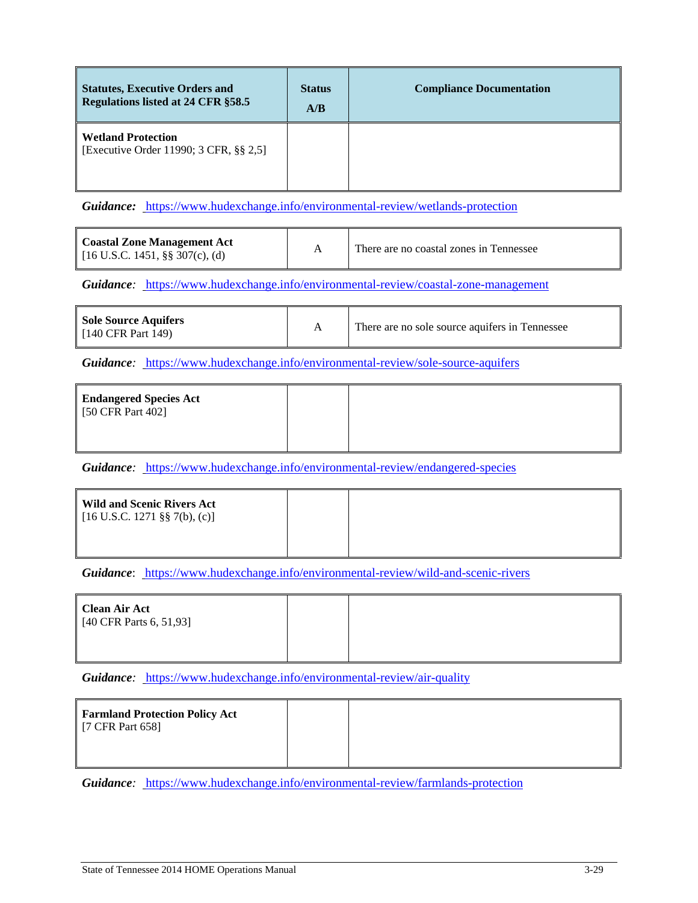| <b>Statutes, Executive Orders and</b><br>Regulations listed at 24 CFR §58.5 | <b>Status</b><br>A/B | <b>Compliance Documentation</b> |
|-----------------------------------------------------------------------------|----------------------|---------------------------------|
| <b>Wetland Protection</b><br>[Executive Order 11990; 3 CFR, §§ 2,5]         |                      |                                 |

Guidance: https://www.hudexchange.info/environmental-review/wetlands-protection

| <b>Coastal Zone Management Act</b><br>[ $16$ U.S.C. 1451, §§ 307(c), (d) |  | There are no coastal zones in Tennessee |
|--------------------------------------------------------------------------|--|-----------------------------------------|
|--------------------------------------------------------------------------|--|-----------------------------------------|

*Guidance:* https://www.hudexchange.info/environmental-review/coastal-zone-management

| <b>Sole Source Aquifers</b><br>$[140 \text{ CFR} \text{ Part } 149]$ |  | There are no sole source aquifers in Tennessee |
|----------------------------------------------------------------------|--|------------------------------------------------|
|----------------------------------------------------------------------|--|------------------------------------------------|

*Guidance:* https://www.hudexchange.info/environmental-review/sole-source-aquifers

| <b>Endangered Species Act</b><br>[50 CFR Part 402] |  |
|----------------------------------------------------|--|
|                                                    |  |

*Guidance:* https://www.hudexchange.info/environmental-review/endangered-species

| <b>Wild and Scenic Rivers Act</b><br>$[16 \text{ U.S.C. } 1271 \text{ \textless } 7(b), (c)]$ |  |  |
|-----------------------------------------------------------------------------------------------|--|--|
|                                                                                               |  |  |

*Guidance*: https://www.hudexchange.info/environmental-review/wild-and-scenic-rivers

| <b>Clean Air Act</b><br>[40 CFR Parts 6, 51,93] |  |
|-------------------------------------------------|--|
|                                                 |  |

*Guidance:* https://www.hudexchange.info/environmental-review/air-quality

| Farmland Protection Policy Act<br>[7 CFR Part 658] |  |
|----------------------------------------------------|--|
|----------------------------------------------------|--|

*Guidance:* https://www.hudexchange.info/environmental-review/farmlands-protection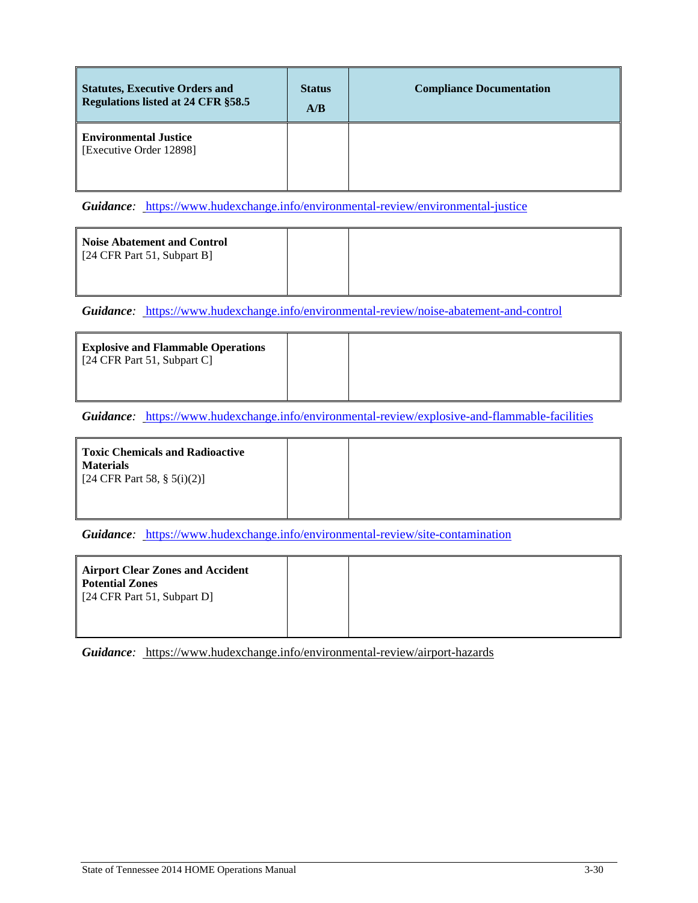| <b>Statutes, Executive Orders and</b><br>Regulations listed at 24 CFR §58.5 | <b>Status</b><br>A/B | <b>Compliance Documentation</b> |
|-----------------------------------------------------------------------------|----------------------|---------------------------------|
| <b>Environmental Justice</b><br>Executive Order 12898]                      |                      |                                 |

*Guidance:* https://www.hudexchange.info/environmental-review/environmental-justice

| <b>Noise Abatement and Control</b><br>[24 CFR Part 51, Subpart B] |  |  |
|-------------------------------------------------------------------|--|--|
|                                                                   |  |  |

*Guidance:* https://www.hudexchange.info/environmental-review/noise-abatement-and-control

| <b>Explosive and Flammable Operations</b><br>[24 CFR Part 51, Subpart C] |  |  |
|--------------------------------------------------------------------------|--|--|
|                                                                          |  |  |

*Guidance:* https://www.hudexchange.info/environmental-review/explosive-and-flammable-facilities

| Toxic Chemicals and Radioactive<br><b>Materials</b><br>[24 CFR Part 58, $\S$ 5(i)(2)] |  |  |
|---------------------------------------------------------------------------------------|--|--|
|                                                                                       |  |  |

*Guidance:* https://www.hudexchange.info/environmental-review/site-contamination

| Airport Clear Zones and Accident<br>Potential Zones<br>$[24 \text{ CFR Part } 51, \text{Subpart } D]$ |  |
|-------------------------------------------------------------------------------------------------------|--|
|                                                                                                       |  |

*Guidance:* https://www.hudexchange.info/environmental-review/airport-hazards